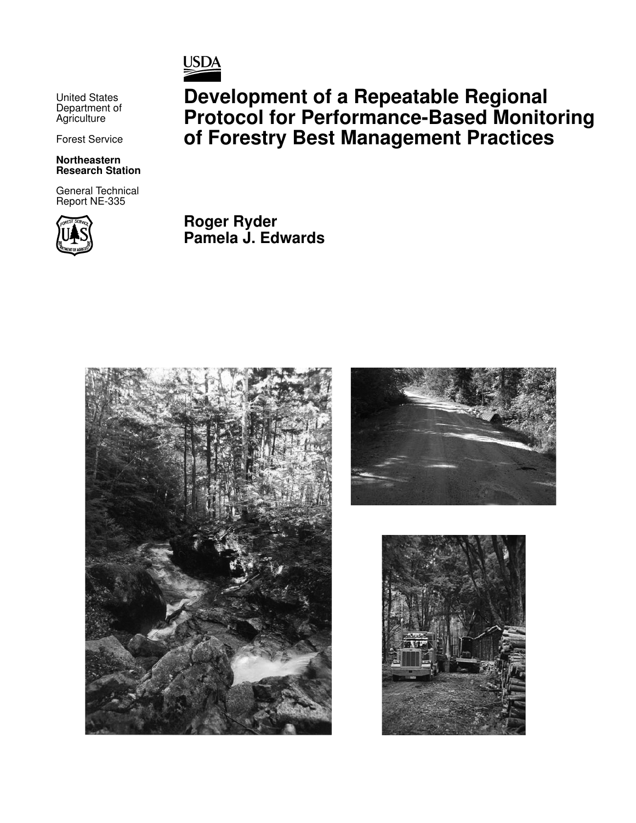

United States Department of **Agriculture** 

Forest Service

#### **Northeastern Research Station**

General Technical Report NE-335



**Development of a Repeatable Regional Protocol for Performance-Based Monitoring of Forestry Best Management Practices**

**Roger Ryder Pamela J. Edwards**





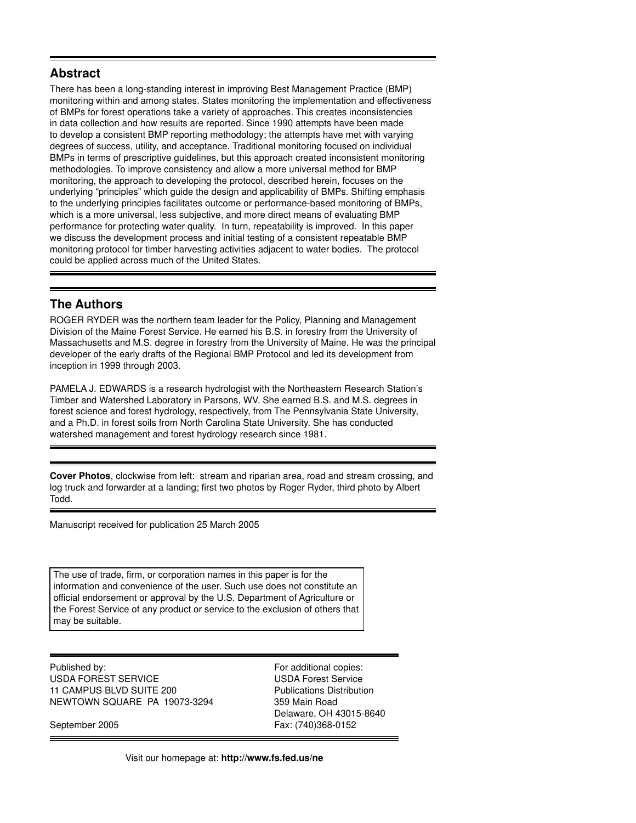## **Abstract**

There has been a long-standing interest in improving Best Management Practice (BMP) monitoring within and among states. States monitoring the implementation and effectiveness of BMPs for forest operations take a variety of approaches. This creates inconsistencies in data collection and how results are reported. Since 1990 attempts have been made to develop a consistent BMP reporting methodology; the attempts have met with varying degrees of success, utility, and acceptance. Traditional monitoring focused on individual BMPs in terms of prescriptive guidelines, but this approach created inconsistent monitoring methodologies. To improve consistency and allow a more universal method for BMP monitoring, the approach to developing the protocol, described herein, focuses on the underlying "principles" which guide the design and applicability of BMPs. Shifting emphasis to the underlying principles facilitates outcome or performance-based monitoring of BMPs, which is a more universal, less subjective, and more direct means of evaluating BMP performance for protecting water quality. In turn, repeatability is improved. In this paper we discuss the development process and initial testing of a consistent repeatable BMP monitoring protocol for timber harvesting activities adjacent to water bodies. The protocol could be applied across much of the United States.

# **The Authors**

ROGER RYDER was the northern team leader for the Policy, Planning and Management Division of the Maine Forest Service. He earned his B.S. in forestry from the University of Massachusetts and M.S. degree in forestry from the University of Maine. He was the principal developer of the early drafts of the Regional BMP Protocol and led its development from inception in 1999 through 2003.

PAMELA J. EDWARDS is a research hydrologist with the Northeastern Research Station's Timber and Watershed Laboratory in Parsons, WV. She earned B.S. and M.S. degrees in forest science and forest hydrology, respectively, from The Pennsylvania State University, and a Ph.D. in forest soils from North Carolina State University. She has conducted watershed management and forest hydrology research since 1981.

**Cover Photos**, clockwise from left: stream and riparian area, road and stream crossing, and log truck and forwarder at a landing; first two photos by Roger Ryder, third photo by Albert Todd.

Manuscript received for publication 25 March 2005

The use of trade, firm, or corporation names in this paper is for the information and convenience of the user. Such use does not constitute an official endorsement or approval by the U.S. Department of Agriculture or the Forest Service of any product or service to the exclusion of others that may be suitable.

Published by: For additional copies: USDA FOREST SERVICE USDA Forest Service 11 CAMPUS BLVD SUITE 200 Publications Distribution NEWTOWN SQUARE PA 19073-3294 359 Main Road

 Delaware, OH 43015-8640 September 2005 Fax: (740)368-0152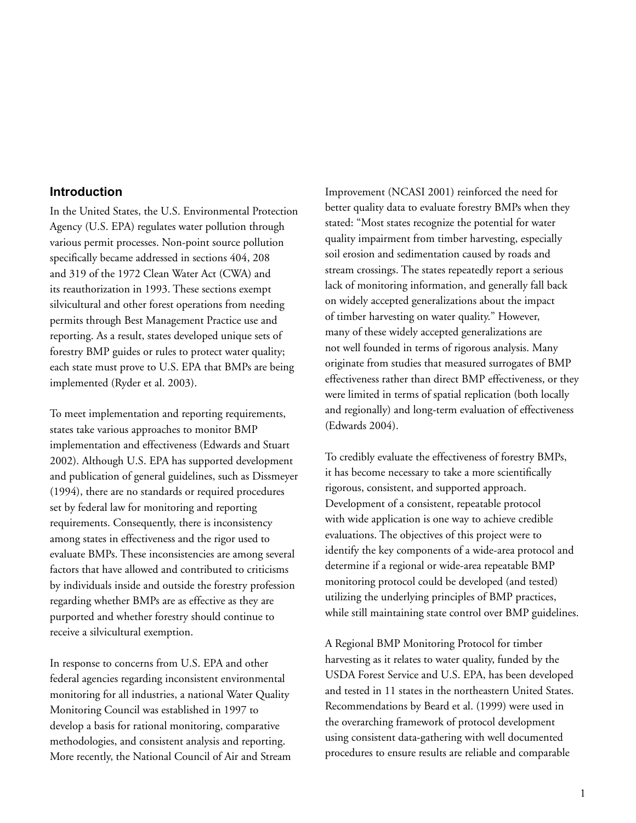### **Introduction**

In the United States, the U.S. Environmental Protection Agency (U.S. EPA) regulates water pollution through various permit processes. Non-point source pollution specifically became addressed in sections 404, 208 and 319 of the 1972 Clean Water Act (CWA) and its reauthorization in 1993. These sections exempt silvicultural and other forest operations from needing permits through Best Management Practice use and reporting. As a result, states developed unique sets of forestry BMP guides or rules to protect water quality; each state must prove to U.S. EPA that BMPs are being implemented (Ryder et al. 2003).

To meet implementation and reporting requirements, states take various approaches to monitor BMP implementation and effectiveness (Edwards and Stuart 2002). Although U.S. EPA has supported development and publication of general guidelines, such as Dissmeyer (1994), there are no standards or required procedures set by federal law for monitoring and reporting requirements. Consequently, there is inconsistency among states in effectiveness and the rigor used to evaluate BMPs. These inconsistencies are among several factors that have allowed and contributed to criticisms by individuals inside and outside the forestry profession regarding whether BMPs are as effective as they are purported and whether forestry should continue to receive a silvicultural exemption.

In response to concerns from U.S. EPA and other federal agencies regarding inconsistent environmental monitoring for all industries, a national Water Quality Monitoring Council was established in 1997 to develop a basis for rational monitoring, comparative methodologies, and consistent analysis and reporting. More recently, the National Council of Air and Stream Improvement (NCASI 2001) reinforced the need for better quality data to evaluate forestry BMPs when they stated: "Most states recognize the potential for water quality impairment from timber harvesting, especially soil erosion and sedimentation caused by roads and stream crossings. The states repeatedly report a serious lack of monitoring information, and generally fall back on widely accepted generalizations about the impact of timber harvesting on water quality." However, many of these widely accepted generalizations are not well founded in terms of rigorous analysis. Many originate from studies that measured surrogates of BMP effectiveness rather than direct BMP effectiveness, or they were limited in terms of spatial replication (both locally and regionally) and long-term evaluation of effectiveness (Edwards 2004).

To credibly evaluate the effectiveness of forestry BMPs, it has become necessary to take a more scientifically rigorous, consistent, and supported approach. Development of a consistent, repeatable protocol with wide application is one way to achieve credible evaluations. The objectives of this project were to identify the key components of a wide-area protocol and determine if a regional or wide-area repeatable BMP monitoring protocol could be developed (and tested) utilizing the underlying principles of BMP practices, while still maintaining state control over BMP guidelines.

A Regional BMP Monitoring Protocol for timber harvesting as it relates to water quality, funded by the USDA Forest Service and U.S. EPA, has been developed and tested in 11 states in the northeastern United States. Recommendations by Beard et al. (1999) were used in the overarching framework of protocol development using consistent data-gathering with well documented procedures to ensure results are reliable and comparable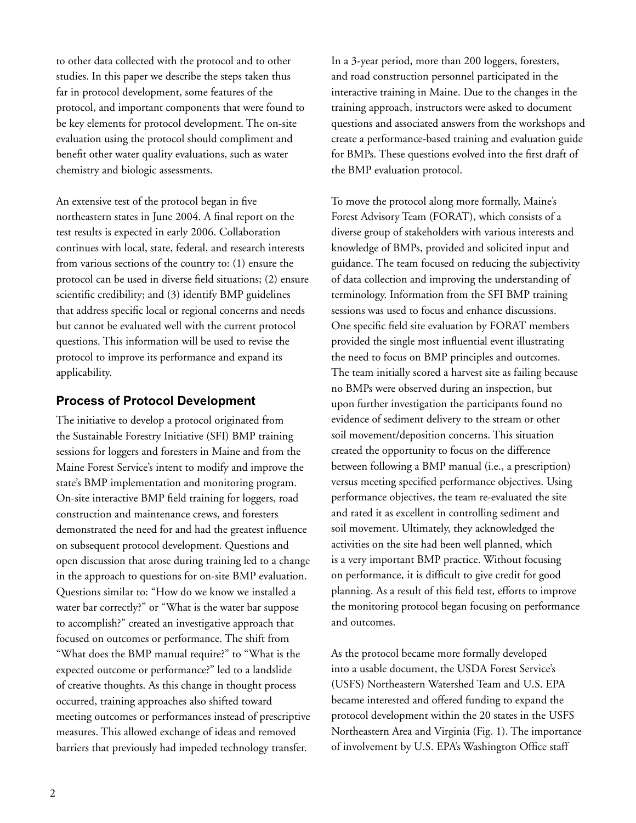to other data collected with the protocol and to other studies. In this paper we describe the steps taken thus far in protocol development, some features of the protocol, and important components that were found to be key elements for protocol development. The on-site evaluation using the protocol should compliment and benefit other water quality evaluations, such as water chemistry and biologic assessments.

An extensive test of the protocol began in five northeastern states in June 2004. A final report on the test results is expected in early 2006. Collaboration continues with local, state, federal, and research interests from various sections of the country to: (1) ensure the protocol can be used in diverse field situations; (2) ensure scientific credibility; and (3) identify BMP guidelines that address specific local or regional concerns and needs but cannot be evaluated well with the current protocol questions. This information will be used to revise the protocol to improve its performance and expand its applicability.

## **Process of Protocol Development**

The initiative to develop a protocol originated from the Sustainable Forestry Initiative (SFI) BMP training sessions for loggers and foresters in Maine and from the Maine Forest Service's intent to modify and improve the state's BMP implementation and monitoring program. On-site interactive BMP field training for loggers, road construction and maintenance crews, and foresters demonstrated the need for and had the greatest influence on subsequent protocol development. Questions and open discussion that arose during training led to a change in the approach to questions for on-site BMP evaluation. Questions similar to: "How do we know we installed a water bar correctly?" or "What is the water bar suppose to accomplish?" created an investigative approach that focused on outcomes or performance. The shift from "What does the BMP manual require?" to "What is the expected outcome or performance?" led to a landslide of creative thoughts. As this change in thought process occurred, training approaches also shifted toward meeting outcomes or performances instead of prescriptive measures. This allowed exchange of ideas and removed barriers that previously had impeded technology transfer.

In a 3-year period, more than 200 loggers, foresters, and road construction personnel participated in the interactive training in Maine. Due to the changes in the training approach, instructors were asked to document questions and associated answers from the workshops and create a performance-based training and evaluation guide for BMPs. These questions evolved into the first draft of the BMP evaluation protocol.

To move the protocol along more formally, Maine's Forest Advisory Team (FORAT), which consists of a diverse group of stakeholders with various interests and knowledge of BMPs, provided and solicited input and guidance. The team focused on reducing the subjectivity of data collection and improving the understanding of terminology. Information from the SFI BMP training sessions was used to focus and enhance discussions. One specific field site evaluation by FORAT members provided the single most influential event illustrating the need to focus on BMP principles and outcomes. The team initially scored a harvest site as failing because no BMPs were observed during an inspection, but upon further investigation the participants found no evidence of sediment delivery to the stream or other soil movement/deposition concerns. This situation created the opportunity to focus on the difference between following a BMP manual (i.e., a prescription) versus meeting specified performance objectives. Using performance objectives, the team re-evaluated the site and rated it as excellent in controlling sediment and soil movement. Ultimately, they acknowledged the activities on the site had been well planned, which is a very important BMP practice. Without focusing on performance, it is difficult to give credit for good planning. As a result of this field test, efforts to improve the monitoring protocol began focusing on performance and outcomes.

As the protocol became more formally developed into a usable document, the USDA Forest Service's (USFS) Northeastern Watershed Team and U.S. EPA became interested and offered funding to expand the protocol development within the 20 states in the USFS Northeastern Area and Virginia (Fig. 1). The importance of involvement by U.S. EPA's Washington Office staff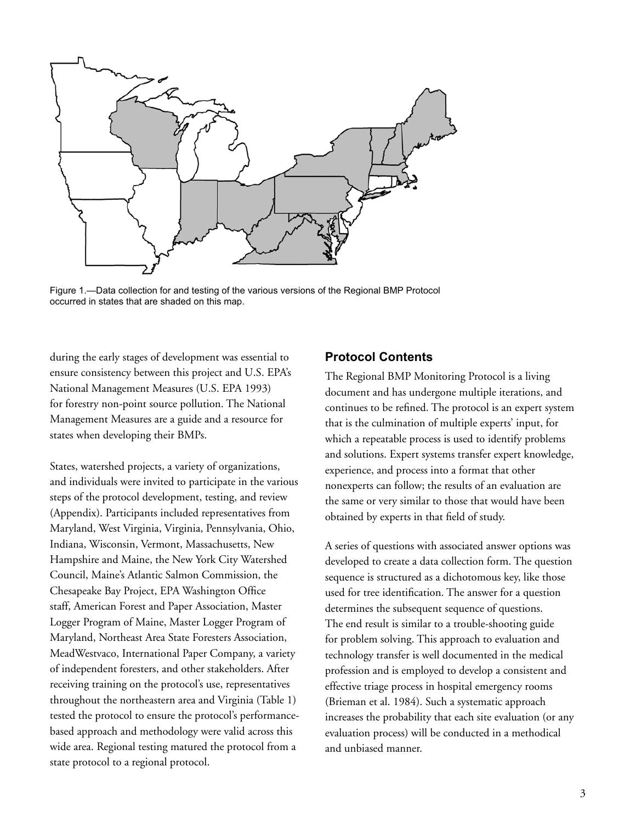

Figure 1.—Data collection for and testing of the various versions of the Regional BMP Protocol occurred in states that are shaded on this map.

during the early stages of development was essential to ensure consistency between this project and U.S. EPA's National Management Measures (U.S. EPA 1993) for forestry non-point source pollution. The National Management Measures are a guide and a resource for states when developing their BMPs.

States, watershed projects, a variety of organizations, and individuals were invited to participate in the various steps of the protocol development, testing, and review (Appendix). Participants included representatives from Maryland, West Virginia, Virginia, Pennsylvania, Ohio, Indiana, Wisconsin, Vermont, Massachusetts, New Hampshire and Maine, the New York City Watershed Council, Maine's Atlantic Salmon Commission, the Chesapeake Bay Project, EPA Washington Office staff, American Forest and Paper Association, Master Logger Program of Maine, Master Logger Program of Maryland, Northeast Area State Foresters Association, MeadWestvaco, International Paper Company, a variety of independent foresters, and other stakeholders. After receiving training on the protocol's use, representatives throughout the northeastern area and Virginia (Table 1) tested the protocol to ensure the protocol's performancebased approach and methodology were valid across this wide area. Regional testing matured the protocol from a state protocol to a regional protocol.

### **Protocol Contents**

The Regional BMP Monitoring Protocol is a living document and has undergone multiple iterations, and continues to be refined. The protocol is an expert system that is the culmination of multiple experts' input, for which a repeatable process is used to identify problems and solutions. Expert systems transfer expert knowledge, experience, and process into a format that other nonexperts can follow; the results of an evaluation are the same or very similar to those that would have been obtained by experts in that field of study.

A series of questions with associated answer options was developed to create a data collection form. The question sequence is structured as a dichotomous key, like those used for tree identification. The answer for a question determines the subsequent sequence of questions. The end result is similar to a trouble-shooting guide for problem solving. This approach to evaluation and technology transfer is well documented in the medical profession and is employed to develop a consistent and effective triage process in hospital emergency rooms (Brieman et al. 1984). Such a systematic approach increases the probability that each site evaluation (or any evaluation process) will be conducted in a methodical and unbiased manner.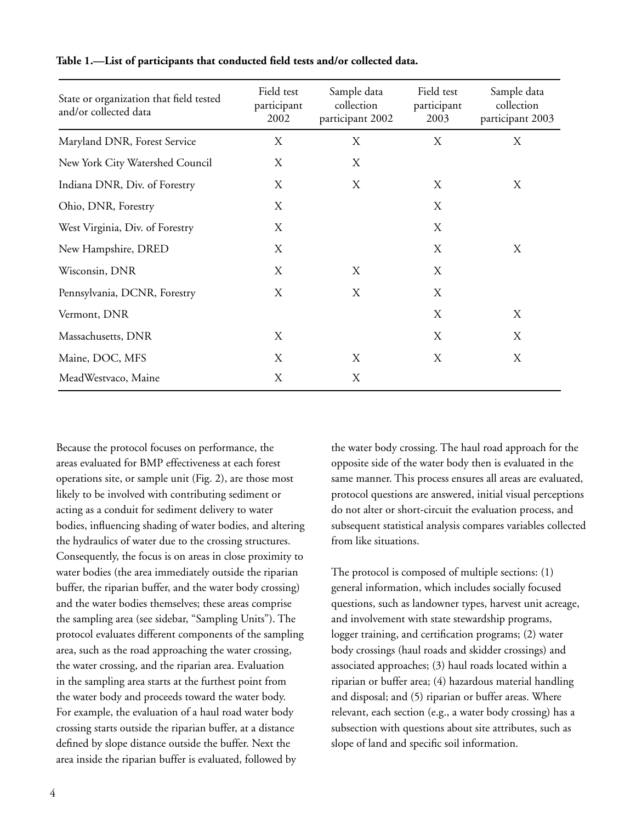| State or organization that field tested<br>and/or collected data | Field test<br>participant<br>2002 | Sample data<br>collection<br>participant 2002 | Field test<br>participant<br>2003 | Sample data<br>collection<br>participant 2003 |
|------------------------------------------------------------------|-----------------------------------|-----------------------------------------------|-----------------------------------|-----------------------------------------------|
| Maryland DNR, Forest Service                                     | X                                 | X                                             | X                                 | X                                             |
| New York City Watershed Council                                  | X                                 | X                                             |                                   |                                               |
| Indiana DNR, Div. of Forestry                                    | X                                 | Χ                                             | X                                 | X                                             |
| Ohio, DNR, Forestry                                              | X                                 |                                               | X                                 |                                               |
| West Virginia, Div. of Forestry                                  | X                                 |                                               | X                                 |                                               |
| New Hampshire, DRED                                              | X                                 |                                               | X                                 | Х                                             |
| Wisconsin, DNR                                                   | X                                 | X                                             | X                                 |                                               |
| Pennsylvania, DCNR, Forestry                                     | X                                 | X                                             | X                                 |                                               |
| Vermont, DNR                                                     |                                   |                                               | X                                 | X                                             |
| Massachusetts, DNR                                               | X                                 |                                               | X                                 | X                                             |
| Maine, DOC, MFS                                                  | X                                 | X                                             | X                                 | X                                             |
| MeadWestvaco, Maine                                              | X                                 | X                                             |                                   |                                               |

#### Table 1.—List of participants that conducted field tests and/or collected data.

Because the protocol focuses on performance, the areas evaluated for BMP effectiveness at each forest operations site, or sample unit (Fig. 2), are those most likely to be involved with contributing sediment or acting as a conduit for sediment delivery to water bodies, influencing shading of water bodies, and altering the hydraulics of water due to the crossing structures. Consequently, the focus is on areas in close proximity to water bodies (the area immediately outside the riparian buffer, the riparian buffer, and the water body crossing) and the water bodies themselves; these areas comprise the sampling area (see sidebar, "Sampling Units"). The protocol evaluates different components of the sampling area, such as the road approaching the water crossing, the water crossing, and the riparian area. Evaluation in the sampling area starts at the furthest point from the water body and proceeds toward the water body. For example, the evaluation of a haul road water body crossing starts outside the riparian buffer, at a distance defined by slope distance outside the buffer. Next the area inside the riparian buffer is evaluated, followed by

the water body crossing. The haul road approach for the opposite side of the water body then is evaluated in the same manner. This process ensures all areas are evaluated, protocol questions are answered, initial visual perceptions do not alter or short-circuit the evaluation process, and subsequent statistical analysis compares variables collected from like situations.

The protocol is composed of multiple sections: (1) general information, which includes socially focused questions, such as landowner types, harvest unit acreage, and involvement with state stewardship programs, logger training, and certification programs; (2) water body crossings (haul roads and skidder crossings) and associated approaches; (3) haul roads located within a riparian or buffer area; (4) hazardous material handling and disposal; and (5) riparian or buffer areas. Where relevant, each section (e.g., a water body crossing) has a subsection with questions about site attributes, such as slope of land and specific soil information.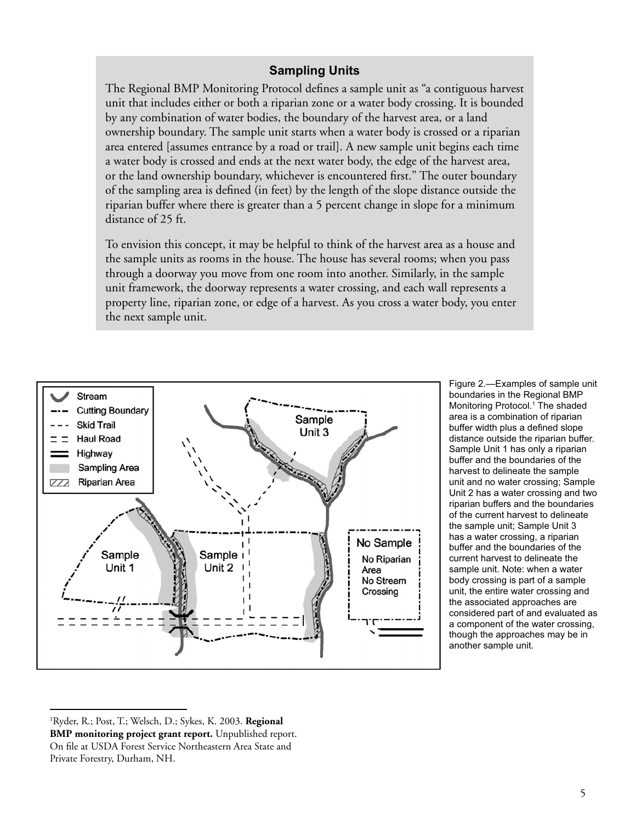# **Sampling Units**

The Regional BMP Monitoring Protocol defines a sample unit as "a contiguous harvest unit that includes either or both a riparian zone or a water body crossing. It is bounded by any combination of water bodies, the boundary of the harvest area, or a land ownership boundary. The sample unit starts when a water body is crossed or a riparian area entered [assumes entrance by a road or trail]. A new sample unit begins each time a water body is crossed and ends at the next water body, the edge of the harvest area, or the land ownership boundary, whichever is encountered first." The outer boundary of the sampling area is defined (in feet) by the length of the slope distance outside the riparian buffer where there is greater than a 5 percent change in slope for a minimum distance of 25 ft.

To envision this concept, it may be helpful to think of the harvest area as a house and the sample units as rooms in the house. The house has several rooms; when you pass through a doorway you move from one room into another. Similarly, in the sample unit framework, the doorway represents a water crossing, and each wall represents a property line, riparian zone, or edge of a harvest. As you cross a water body, you enter the next sample unit.



Figure 2.—Examples of sample unit boundaries in the Regional BMP Monitoring Protocol.<sup>1</sup> The shaded area is a combination of riparian buffer width plus a defined slope distance outside the riparian buffer. Sample Unit 1 has only a riparian buffer and the boundaries of the harvest to delineate the sample unit and no water crossing; Sample Unit 2 has a water crossing and two riparian buffers and the boundaries of the current harvest to delineate the sample unit; Sample Unit 3 has a water crossing, a riparian buffer and the boundaries of the current harvest to delineate the sample unit. Note: when a water body crossing is part of a sample unit, the entire water crossing and the associated approaches are considered part of and evaluated as a component of the water crossing, though the approaches may be in another sample unit.

<sup>1</sup> Ryder, R.; Post, T.; Welsch, D.; Sykes, K. 2003. **Regional BMP monitoring project grant report.** Unpublished report. On file at USDA Forest Service Northeastern Area State and Private Forestry, Durham, NH.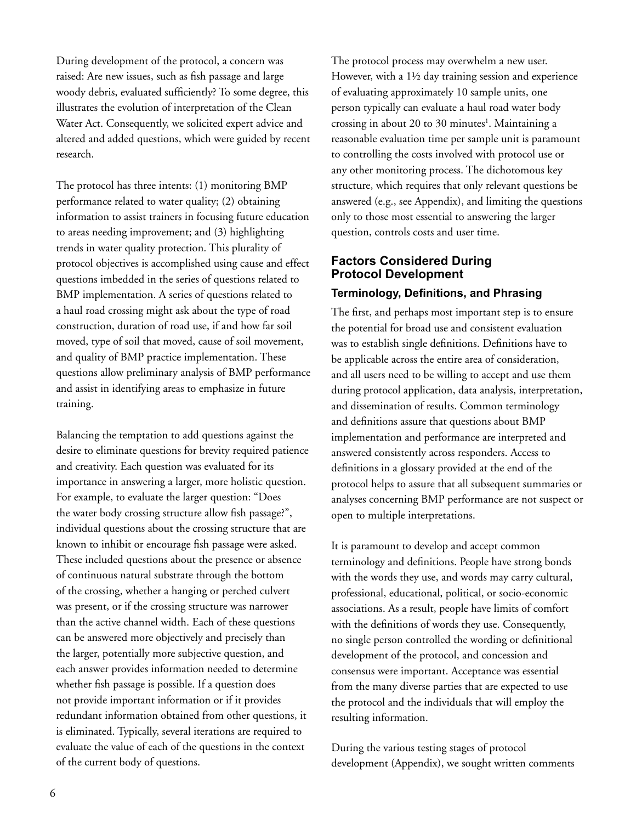During development of the protocol, a concern was raised: Are new issues, such as fish passage and large woody debris, evaluated sufficiently? To some degree, this illustrates the evolution of interpretation of the Clean Water Act. Consequently, we solicited expert advice and altered and added questions, which were guided by recent research.

The protocol has three intents: (1) monitoring BMP performance related to water quality; (2) obtaining information to assist trainers in focusing future education to areas needing improvement; and (3) highlighting trends in water quality protection. This plurality of protocol objectives is accomplished using cause and effect questions imbedded in the series of questions related to BMP implementation. A series of questions related to a haul road crossing might ask about the type of road construction, duration of road use, if and how far soil moved, type of soil that moved, cause of soil movement, and quality of BMP practice implementation. These questions allow preliminary analysis of BMP performance and assist in identifying areas to emphasize in future training.

Balancing the temptation to add questions against the desire to eliminate questions for brevity required patience and creativity. Each question was evaluated for its importance in answering a larger, more holistic question. For example, to evaluate the larger question: "Does the water body crossing structure allow fish passage?", individual questions about the crossing structure that are known to inhibit or encourage fish passage were asked. These included questions about the presence or absence of continuous natural substrate through the bottom of the crossing, whether a hanging or perched culvert was present, or if the crossing structure was narrower than the active channel width. Each of these questions can be answered more objectively and precisely than the larger, potentially more subjective question, and each answer provides information needed to determine whether fish passage is possible. If a question does not provide important information or if it provides redundant information obtained from other questions, it is eliminated. Typically, several iterations are required to evaluate the value of each of the questions in the context of the current body of questions.

The protocol process may overwhelm a new user. However, with a 1½ day training session and experience of evaluating approximately 10 sample units, one person typically can evaluate a haul road water body crossing in about 20 to 30 minutes<sup>1</sup>. Maintaining a reasonable evaluation time per sample unit is paramount to controlling the costs involved with protocol use or any other monitoring process. The dichotomous key structure, which requires that only relevant questions be answered (e.g., see Appendix), and limiting the questions only to those most essential to answering the larger question, controls costs and user time.

# **Factors Considered During Protocol Development Terminology, Definitions, and Phrasing**

The first, and perhaps most important step is to ensure the potential for broad use and consistent evaluation was to establish single definitions. Definitions have to be applicable across the entire area of consideration, and all users need to be willing to accept and use them during protocol application, data analysis, interpretation, and dissemination of results. Common terminology and definitions assure that questions about BMP implementation and performance are interpreted and answered consistently across responders. Access to definitions in a glossary provided at the end of the protocol helps to assure that all subsequent summaries or analyses concerning BMP performance are not suspect or open to multiple interpretations.

It is paramount to develop and accept common terminology and definitions. People have strong bonds with the words they use, and words may carry cultural, professional, educational, political, or socio-economic associations. As a result, people have limits of comfort with the definitions of words they use. Consequently, no single person controlled the wording or definitional development of the protocol, and concession and consensus were important. Acceptance was essential from the many diverse parties that are expected to use the protocol and the individuals that will employ the resulting information.

During the various testing stages of protocol development (Appendix), we sought written comments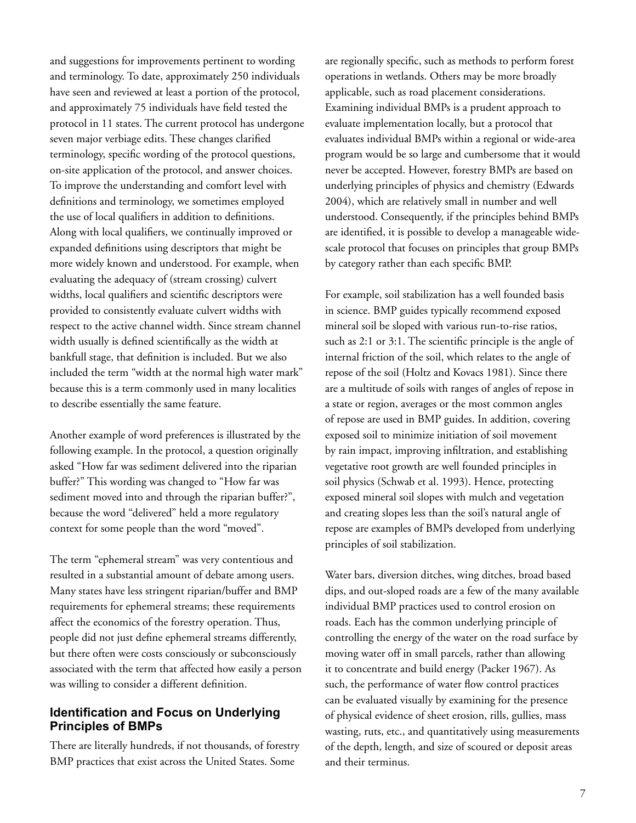and suggestions for improvements pertinent to wording and terminology. To date, approximately 250 individuals have seen and reviewed at least a portion of the protocol, and approximately 75 individuals have field tested the protocol in 11 states. The current protocol has undergone seven major verbiage edits. These changes clarified terminology, specific wording of the protocol questions, on-site application of the protocol, and answer choices. To improve the understanding and comfort level with definitions and terminology, we sometimes employed the use of local qualifiers in addition to definitions. Along with local qualifiers, we continually improved or expanded definitions using descriptors that might be more widely known and understood. For example, when evaluating the adequacy of (stream crossing) culvert widths, local qualifiers and scientific descriptors were provided to consistently evaluate culvert widths with respect to the active channel width. Since stream channel width usually is defined scientifically as the width at bankfull stage, that definition is included. But we also included the term "width at the normal high water mark" because this is a term commonly used in many localities to describe essentially the same feature.

Another example of word preferences is illustrated by the following example. In the protocol, a question originally asked "How far was sediment delivered into the riparian buffer?" This wording was changed to "How far was sediment moved into and through the riparian buffer?", because the word "delivered" held a more regulatory context for some people than the word "moved".

The term "ephemeral stream" was very contentious and resulted in a substantial amount of debate among users. Many states have less stringent riparian/buffer and BMP requirements for ephemeral streams; these requirements affect the economics of the forestry operation. Thus, people did not just define ephemeral streams differently, but there often were costs consciously or subconsciously associated with the term that affected how easily a person was willing to consider a different definition.

### **Identification and Focus on Underlying Principles of BMPs**

There are literally hundreds, if not thousands, of forestry BMP practices that exist across the United States. Some

are regionally specific, such as methods to perform forest operations in wetlands. Others may be more broadly applicable, such as road placement considerations. Examining individual BMPs is a prudent approach to evaluate implementation locally, but a protocol that evaluates individual BMPs within a regional or wide-area program would be so large and cumbersome that it would never be accepted. However, forestry BMPs are based on underlying principles of physics and chemistry (Edwards 2004), which are relatively small in number and well understood. Consequently, if the principles behind BMPs are identified, it is possible to develop a manageable widescale protocol that focuses on principles that group BMPs by category rather than each specific BMP.

For example, soil stabilization has a well founded basis in science. BMP guides typically recommend exposed mineral soil be sloped with various run-to-rise ratios, such as 2:1 or 3:1. The scientific principle is the angle of internal friction of the soil, which relates to the angle of repose of the soil (Holtz and Kovacs 1981). Since there are a multitude of soils with ranges of angles of repose in a state or region, averages or the most common angles of repose are used in BMP guides. In addition, covering exposed soil to minimize initiation of soil movement by rain impact, improving infiltration, and establishing vegetative root growth are well founded principles in soil physics (Schwab et al. 1993). Hence, protecting exposed mineral soil slopes with mulch and vegetation and creating slopes less than the soil's natural angle of repose are examples of BMPs developed from underlying principles of soil stabilization.

Water bars, diversion ditches, wing ditches, broad based dips, and out-sloped roads are a few of the many available individual BMP practices used to control erosion on roads. Each has the common underlying principle of controlling the energy of the water on the road surface by moving water off in small parcels, rather than allowing it to concentrate and build energy (Packer 1967). As such, the performance of water flow control practices can be evaluated visually by examining for the presence of physical evidence of sheet erosion, rills, gullies, mass wasting, ruts, etc., and quantitatively using measurements of the depth, length, and size of scoured or deposit areas and their terminus.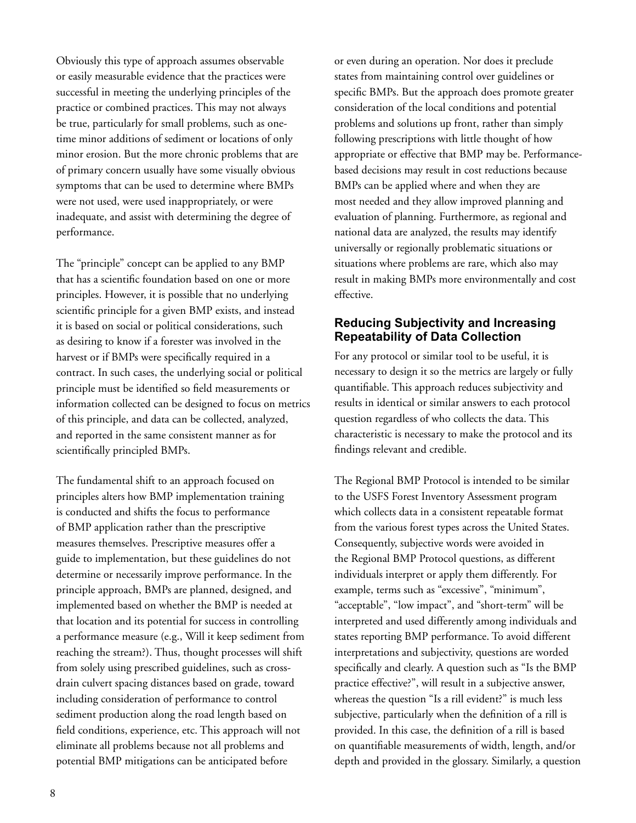Obviously this type of approach assumes observable or easily measurable evidence that the practices were successful in meeting the underlying principles of the practice or combined practices. This may not always be true, particularly for small problems, such as onetime minor additions of sediment or locations of only minor erosion. But the more chronic problems that are of primary concern usually have some visually obvious symptoms that can be used to determine where BMPs were not used, were used inappropriately, or were inadequate, and assist with determining the degree of performance.

The "principle" concept can be applied to any BMP that has a scientific foundation based on one or more principles. However, it is possible that no underlying scientific principle for a given BMP exists, and instead it is based on social or political considerations, such as desiring to know if a forester was involved in the harvest or if BMPs were specifically required in a contract. In such cases, the underlying social or political principle must be identified so field measurements or information collected can be designed to focus on metrics of this principle, and data can be collected, analyzed, and reported in the same consistent manner as for scientifically principled BMPs.

The fundamental shift to an approach focused on principles alters how BMP implementation training is conducted and shifts the focus to performance of BMP application rather than the prescriptive measures themselves. Prescriptive measures offer a guide to implementation, but these guidelines do not determine or necessarily improve performance. In the principle approach, BMPs are planned, designed, and implemented based on whether the BMP is needed at that location and its potential for success in controlling a performance measure (e.g., Will it keep sediment from reaching the stream?). Thus, thought processes will shift from solely using prescribed guidelines, such as crossdrain culvert spacing distances based on grade, toward including consideration of performance to control sediment production along the road length based on field conditions, experience, etc. This approach will not eliminate all problems because not all problems and potential BMP mitigations can be anticipated before

or even during an operation. Nor does it preclude states from maintaining control over guidelines or specific BMPs. But the approach does promote greater consideration of the local conditions and potential problems and solutions up front, rather than simply following prescriptions with little thought of how appropriate or effective that BMP may be. Performancebased decisions may result in cost reductions because BMPs can be applied where and when they are most needed and they allow improved planning and evaluation of planning. Furthermore, as regional and national data are analyzed, the results may identify universally or regionally problematic situations or situations where problems are rare, which also may result in making BMPs more environmentally and cost effective.

## **Reducing Subjectivity and Increasing Repeatability of Data Collection**

For any protocol or similar tool to be useful, it is necessary to design it so the metrics are largely or fully quantifiable. This approach reduces subjectivity and results in identical or similar answers to each protocol question regardless of who collects the data. This characteristic is necessary to make the protocol and its findings relevant and credible.

The Regional BMP Protocol is intended to be similar to the USFS Forest Inventory Assessment program which collects data in a consistent repeatable format from the various forest types across the United States. Consequently, subjective words were avoided in the Regional BMP Protocol questions, as different individuals interpret or apply them differently. For example, terms such as "excessive", "minimum", "acceptable", "low impact", and "short-term" will be interpreted and used differently among individuals and states reporting BMP performance. To avoid different interpretations and subjectivity, questions are worded specifically and clearly. A question such as "Is the BMP practice effective?", will result in a subjective answer, whereas the question "Is a rill evident?" is much less subjective, particularly when the definition of a rill is provided. In this case, the definition of a rill is based on quantifiable measurements of width, length, and/or depth and provided in the glossary. Similarly, a question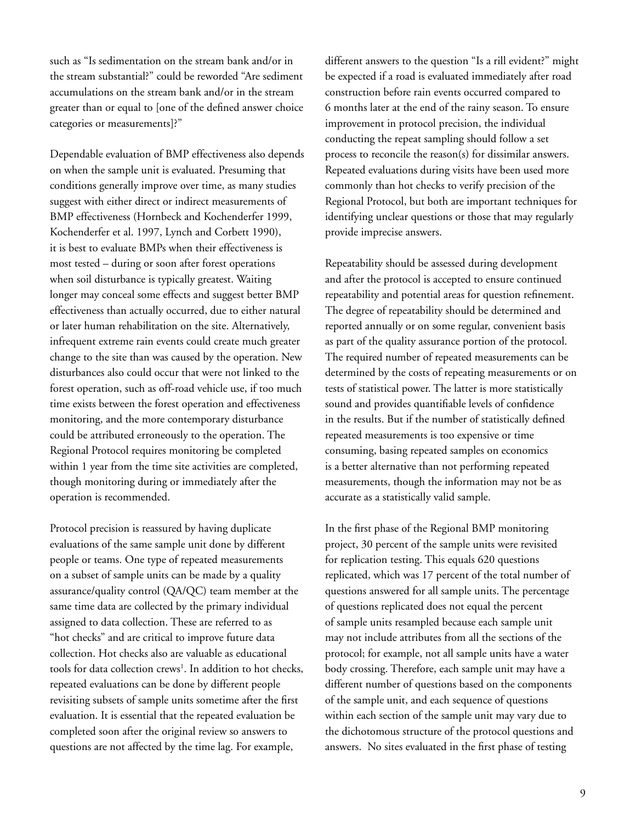such as "Is sedimentation on the stream bank and/or in the stream substantial?" could be reworded "Are sediment accumulations on the stream bank and/or in the stream greater than or equal to [one of the defined answer choice categories or measurements]?"

Dependable evaluation of BMP effectiveness also depends on when the sample unit is evaluated. Presuming that conditions generally improve over time, as many studies suggest with either direct or indirect measurements of BMP effectiveness (Hornbeck and Kochenderfer 1999, Kochenderfer et al. 1997, Lynch and Corbett 1990), it is best to evaluate BMPs when their effectiveness is most tested – during or soon after forest operations when soil disturbance is typically greatest. Waiting longer may conceal some effects and suggest better BMP effectiveness than actually occurred, due to either natural or later human rehabilitation on the site. Alternatively, infrequent extreme rain events could create much greater change to the site than was caused by the operation. New disturbances also could occur that were not linked to the forest operation, such as off-road vehicle use, if too much time exists between the forest operation and effectiveness monitoring, and the more contemporary disturbance could be attributed erroneously to the operation. The Regional Protocol requires monitoring be completed within 1 year from the time site activities are completed, though monitoring during or immediately after the operation is recommended.

Protocol precision is reassured by having duplicate evaluations of the same sample unit done by different people or teams. One type of repeated measurements on a subset of sample units can be made by a quality assurance/quality control (QA/QC) team member at the same time data are collected by the primary individual assigned to data collection. These are referred to as "hot checks" and are critical to improve future data collection. Hot checks also are valuable as educational tools for data collection crews<sup>1</sup>. In addition to hot checks, repeated evaluations can be done by different people revisiting subsets of sample units sometime after the first evaluation. It is essential that the repeated evaluation be completed soon after the original review so answers to questions are not affected by the time lag. For example,

different answers to the question "Is a rill evident?" might be expected if a road is evaluated immediately after road construction before rain events occurred compared to 6 months later at the end of the rainy season. To ensure improvement in protocol precision, the individual conducting the repeat sampling should follow a set process to reconcile the reason(s) for dissimilar answers. Repeated evaluations during visits have been used more commonly than hot checks to verify precision of the Regional Protocol, but both are important techniques for identifying unclear questions or those that may regularly provide imprecise answers.

Repeatability should be assessed during development and after the protocol is accepted to ensure continued repeatability and potential areas for question refinement. The degree of repeatability should be determined and reported annually or on some regular, convenient basis as part of the quality assurance portion of the protocol. The required number of repeated measurements can be determined by the costs of repeating measurements or on tests of statistical power. The latter is more statistically sound and provides quantifiable levels of confidence in the results. But if the number of statistically defined repeated measurements is too expensive or time consuming, basing repeated samples on economics is a better alternative than not performing repeated measurements, though the information may not be as accurate as a statistically valid sample.

In the first phase of the Regional BMP monitoring project, 30 percent of the sample units were revisited for replication testing. This equals 620 questions replicated, which was 17 percent of the total number of questions answered for all sample units. The percentage of questions replicated does not equal the percent of sample units resampled because each sample unit may not include attributes from all the sections of the protocol; for example, not all sample units have a water body crossing. Therefore, each sample unit may have a different number of questions based on the components of the sample unit, and each sequence of questions within each section of the sample unit may vary due to the dichotomous structure of the protocol questions and answers. No sites evaluated in the first phase of testing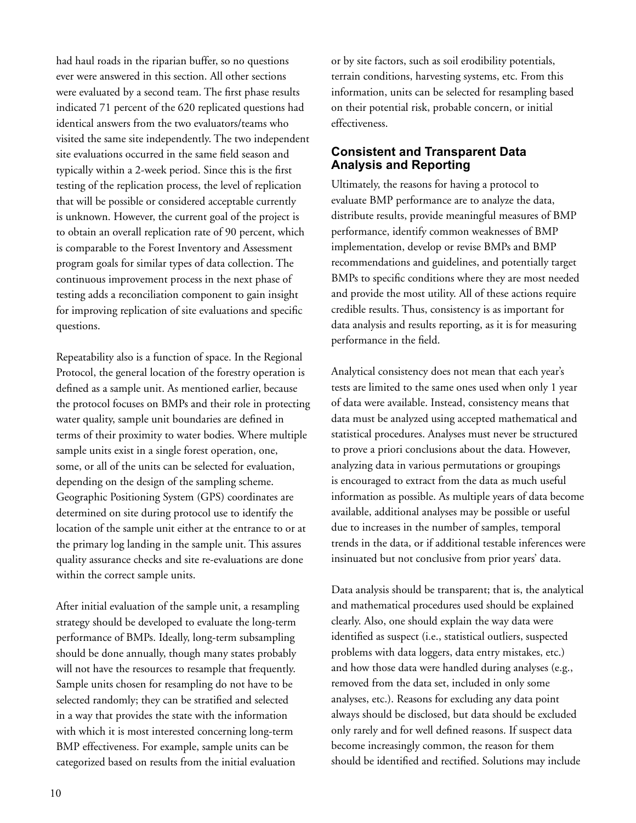had haul roads in the riparian buffer, so no questions ever were answered in this section. All other sections were evaluated by a second team. The first phase results indicated 71 percent of the 620 replicated questions had identical answers from the two evaluators/teams who visited the same site independently. The two independent site evaluations occurred in the same field season and typically within a 2-week period. Since this is the first testing of the replication process, the level of replication that will be possible or considered acceptable currently is unknown. However, the current goal of the project is to obtain an overall replication rate of 90 percent, which is comparable to the Forest Inventory and Assessment program goals for similar types of data collection. The continuous improvement process in the next phase of testing adds a reconciliation component to gain insight for improving replication of site evaluations and specific questions.

Repeatability also is a function of space. In the Regional Protocol, the general location of the forestry operation is defined as a sample unit. As mentioned earlier, because the protocol focuses on BMPs and their role in protecting water quality, sample unit boundaries are defined in terms of their proximity to water bodies. Where multiple sample units exist in a single forest operation, one, some, or all of the units can be selected for evaluation, depending on the design of the sampling scheme. Geographic Positioning System (GPS) coordinates are determined on site during protocol use to identify the location of the sample unit either at the entrance to or at the primary log landing in the sample unit. This assures quality assurance checks and site re-evaluations are done within the correct sample units.

After initial evaluation of the sample unit, a resampling strategy should be developed to evaluate the long-term performance of BMPs. Ideally, long-term subsampling should be done annually, though many states probably will not have the resources to resample that frequently. Sample units chosen for resampling do not have to be selected randomly; they can be stratified and selected in a way that provides the state with the information with which it is most interested concerning long-term BMP effectiveness. For example, sample units can be categorized based on results from the initial evaluation

or by site factors, such as soil erodibility potentials, terrain conditions, harvesting systems, etc. From this information, units can be selected for resampling based on their potential risk, probable concern, or initial effectiveness.

## **Consistent and Transparent Data Analysis and Reporting**

Ultimately, the reasons for having a protocol to evaluate BMP performance are to analyze the data, distribute results, provide meaningful measures of BMP performance, identify common weaknesses of BMP implementation, develop or revise BMPs and BMP recommendations and guidelines, and potentially target BMPs to specific conditions where they are most needed and provide the most utility. All of these actions require credible results. Thus, consistency is as important for data analysis and results reporting, as it is for measuring performance in the field.

Analytical consistency does not mean that each year's tests are limited to the same ones used when only 1 year of data were available. Instead, consistency means that data must be analyzed using accepted mathematical and statistical procedures. Analyses must never be structured to prove a priori conclusions about the data. However, analyzing data in various permutations or groupings is encouraged to extract from the data as much useful information as possible. As multiple years of data become available, additional analyses may be possible or useful due to increases in the number of samples, temporal trends in the data, or if additional testable inferences were insinuated but not conclusive from prior years' data.

Data analysis should be transparent; that is, the analytical and mathematical procedures used should be explained clearly. Also, one should explain the way data were identified as suspect (i.e., statistical outliers, suspected problems with data loggers, data entry mistakes, etc.) and how those data were handled during analyses (e.g., removed from the data set, included in only some analyses, etc.). Reasons for excluding any data point always should be disclosed, but data should be excluded only rarely and for well defined reasons. If suspect data become increasingly common, the reason for them should be identified and rectified. Solutions may include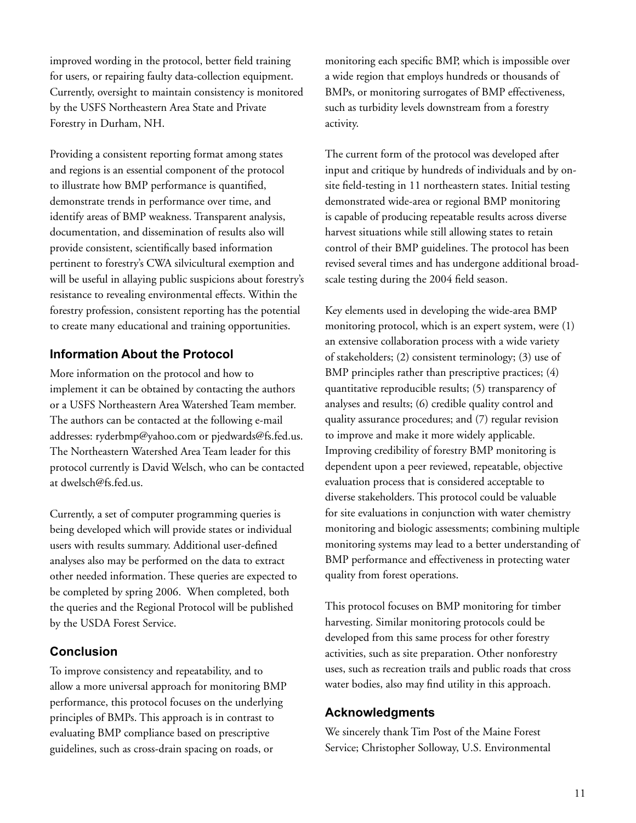improved wording in the protocol, better field training for users, or repairing faulty data-collection equipment. Currently, oversight to maintain consistency is monitored by the USFS Northeastern Area State and Private Forestry in Durham, NH.

Providing a consistent reporting format among states and regions is an essential component of the protocol to illustrate how BMP performance is quantified, demonstrate trends in performance over time, and identify areas of BMP weakness. Transparent analysis, documentation, and dissemination of results also will provide consistent, scientifically based information pertinent to forestry's CWA silvicultural exemption and will be useful in allaying public suspicions about forestry's resistance to revealing environmental effects. Within the forestry profession, consistent reporting has the potential to create many educational and training opportunities.

# **Information About the Protocol**

More information on the protocol and how to implement it can be obtained by contacting the authors or a USFS Northeastern Area Watershed Team member. The authors can be contacted at the following e-mail addresses: ryderbmp@yahoo.com or pjedwards@fs.fed.us. The Northeastern Watershed Area Team leader for this protocol currently is David Welsch, who can be contacted at dwelsch@fs.fed.us.

Currently, a set of computer programming queries is being developed which will provide states or individual users with results summary. Additional user-defined analyses also may be performed on the data to extract other needed information. These queries are expected to be completed by spring 2006. When completed, both the queries and the Regional Protocol will be published by the USDA Forest Service.

# **Conclusion**

To improve consistency and repeatability, and to allow a more universal approach for monitoring BMP performance, this protocol focuses on the underlying principles of BMPs. This approach is in contrast to evaluating BMP compliance based on prescriptive guidelines, such as cross-drain spacing on roads, or

monitoring each specific BMP, which is impossible over a wide region that employs hundreds or thousands of BMPs, or monitoring surrogates of BMP effectiveness, such as turbidity levels downstream from a forestry activity.

The current form of the protocol was developed after input and critique by hundreds of individuals and by onsite field-testing in 11 northeastern states. Initial testing demonstrated wide-area or regional BMP monitoring is capable of producing repeatable results across diverse harvest situations while still allowing states to retain control of their BMP guidelines. The protocol has been revised several times and has undergone additional broadscale testing during the 2004 field season.

Key elements used in developing the wide-area BMP monitoring protocol, which is an expert system, were (1) an extensive collaboration process with a wide variety of stakeholders; (2) consistent terminology; (3) use of BMP principles rather than prescriptive practices; (4) quantitative reproducible results; (5) transparency of analyses and results; (6) credible quality control and quality assurance procedures; and (7) regular revision to improve and make it more widely applicable. Improving credibility of forestry BMP monitoring is dependent upon a peer reviewed, repeatable, objective evaluation process that is considered acceptable to diverse stakeholders. This protocol could be valuable for site evaluations in conjunction with water chemistry monitoring and biologic assessments; combining multiple monitoring systems may lead to a better understanding of BMP performance and effectiveness in protecting water quality from forest operations.

This protocol focuses on BMP monitoring for timber harvesting. Similar monitoring protocols could be developed from this same process for other forestry activities, such as site preparation. Other nonforestry uses, such as recreation trails and public roads that cross water bodies, also may find utility in this approach.

### **Acknowledgments**

We sincerely thank Tim Post of the Maine Forest Service; Christopher Solloway, U.S. Environmental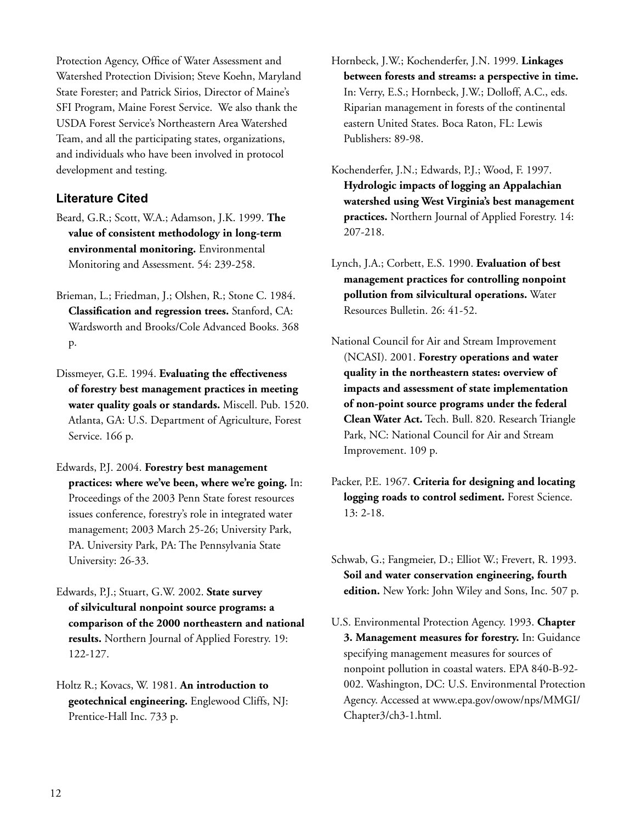Protection Agency, Office of Water Assessment and Watershed Protection Division; Steve Koehn, Maryland State Forester; and Patrick Sirios, Director of Maine's SFI Program, Maine Forest Service. We also thank the USDA Forest Service's Northeastern Area Watershed Team, and all the participating states, organizations, and individuals who have been involved in protocol development and testing.

# **Literature Cited**

- Beard, G.R.; Scott, W.A.; Adamson, J.K. 1999. **The value of consistent methodology in long-term environmental monitoring.** Environmental Monitoring and Assessment. 54: 239-258.
- Brieman, L.; Friedman, J.; Olshen, R.; Stone C. 1984. **Classification and regression trees.** Stanford, CA: Wardsworth and Brooks/Cole Advanced Books. 368 p.
- Dissmeyer, G.E. 1994. **Evaluating the effectiveness of forestry best management practices in meeting water quality goals or standards.** Miscell. Pub. 1520. Atlanta, GA: U.S. Department of Agriculture, Forest Service. 166 p.
- Edwards, P.J. 2004. **Forestry best management practices: where we've been, where we're going.** In: Proceedings of the 2003 Penn State forest resources issues conference, forestry's role in integrated water management; 2003 March 25-26; University Park, PA. University Park, PA: The Pennsylvania State University: 26-33.
- Edwards, P.J.; Stuart, G.W. 2002. **State survey of silvicultural nonpoint source programs: a comparison of the 2000 northeastern and national results.** Northern Journal of Applied Forestry. 19: 122-127.
- Holtz R.; Kovacs, W. 1981. **An introduction to geotechnical engineering.** Englewood Cliffs, NJ: Prentice-Hall Inc. 733 p.

Hornbeck, J.W.; Kochenderfer, J.N. 1999. **Linkages between forests and streams: a perspective in time.** In: Verry, E.S.; Hornbeck, J.W.; Dolloff, A.C., eds. Riparian management in forests of the continental eastern United States. Boca Raton, FL: Lewis Publishers: 89-98.

- Kochenderfer, J.N.; Edwards, P.J.; Wood, F. 1997. **Hydrologic impacts of logging an Appalachian watershed using West Virginia's best management practices.** Northern Journal of Applied Forestry. 14: 207-218.
- Lynch, J.A.; Corbett, E.S. 1990. **Evaluation of best management practices for controlling nonpoint pollution from silvicultural operations.** Water Resources Bulletin. 26: 41-52.
- National Council for Air and Stream Improvement (NCASI). 2001. **Forestry operations and water quality in the northeastern states: overview of impacts and assessment of state implementation of non-point source programs under the federal Clean Water Act.** Tech. Bull. 820. Research Triangle Park, NC: National Council for Air and Stream Improvement. 109 p.
- Packer, P.E. 1967. **Criteria for designing and locating logging roads to control sediment.** Forest Science. 13: 2-18.

Schwab, G.; Fangmeier, D.; Elliot W.; Frevert, R. 1993. **Soil and water conservation engineering, fourth edition.** New York: John Wiley and Sons, Inc. 507 p.

U.S. Environmental Protection Agency. 1993. **Chapter 3. Management measures for forestry.** In: Guidance specifying management measures for sources of nonpoint pollution in coastal waters. EPA 840-B-92- 002. Washington, DC: U.S. Environmental Protection Agency. Accessed at www.epa.gov/owow/nps/MMGI/ Chapter3/ch3-1.html.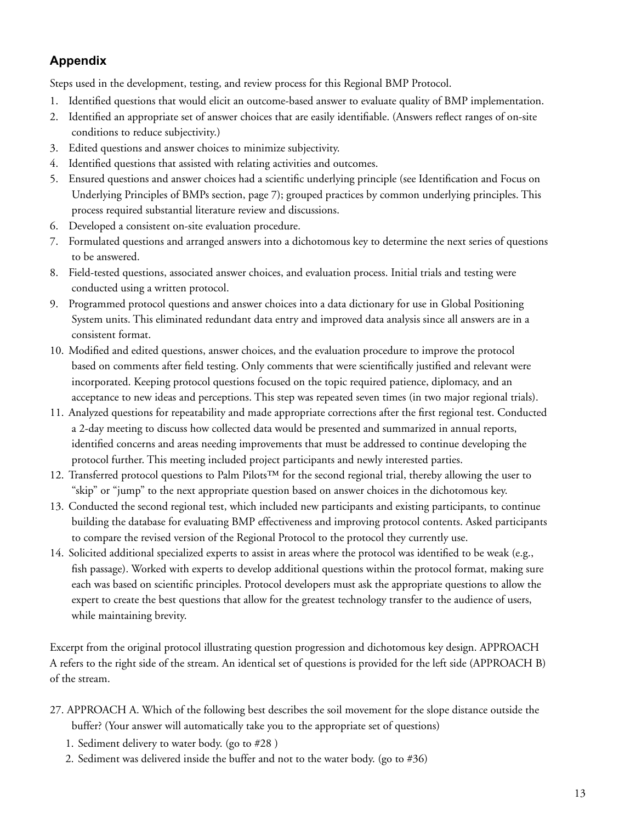# **Appendix**

Steps used in the development, testing, and review process for this Regional BMP Protocol.

- 1. Identified questions that would elicit an outcome-based answer to evaluate quality of BMP implementation.
- 2. Identified an appropriate set of answer choices that are easily identifiable. (Answers reflect ranges of on-site conditions to reduce subjectivity.)
- 3. Edited questions and answer choices to minimize subjectivity.
- 4. Identified questions that assisted with relating activities and outcomes.
- 5. Ensured questions and answer choices had a scientific underlying principle (see Identification and Focus on Underlying Principles of BMPs section, page 7); grouped practices by common underlying principles. This process required substantial literature review and discussions.
- 6. Developed a consistent on-site evaluation procedure.
- 7. Formulated questions and arranged answers into a dichotomous key to determine the next series of questions to be answered.
- 8. Field-tested questions, associated answer choices, and evaluation process. Initial trials and testing were conducted using a written protocol.
- 9. Programmed protocol questions and answer choices into a data dictionary for use in Global Positioning System units. This eliminated redundant data entry and improved data analysis since all answers are in a consistent format.
- 10. Modified and edited questions, answer choices, and the evaluation procedure to improve the protocol based on comments after field testing. Only comments that were scientifically justified and relevant were incorporated. Keeping protocol questions focused on the topic required patience, diplomacy, and an acceptance to new ideas and perceptions. This step was repeated seven times (in two major regional trials).
- 11. Analyzed questions for repeatability and made appropriate corrections after the first regional test. Conducted a 2-day meeting to discuss how collected data would be presented and summarized in annual reports, identified concerns and areas needing improvements that must be addressed to continue developing the protocol further. This meeting included project participants and newly interested parties.
- 12. Transferred protocol questions to Palm Pilots™ for the second regional trial, thereby allowing the user to "skip" or "jump" to the next appropriate question based on answer choices in the dichotomous key.
- 13. Conducted the second regional test, which included new participants and existing participants, to continue building the database for evaluating BMP effectiveness and improving protocol contents. Asked participants to compare the revised version of the Regional Protocol to the protocol they currently use.
- 14. Solicited additional specialized experts to assist in areas where the protocol was identified to be weak (e.g., fish passage). Worked with experts to develop additional questions within the protocol format, making sure each was based on scientific principles. Protocol developers must ask the appropriate questions to allow the expert to create the best questions that allow for the greatest technology transfer to the audience of users, while maintaining brevity.

Excerpt from the original protocol illustrating question progression and dichotomous key design. APPROACH A refers to the right side of the stream. An identical set of questions is provided for the left side (APPROACH B) of the stream.

- 27. APPROACH A. Which of the following best describes the soil movement for the slope distance outside the buffer? (Your answer will automatically take you to the appropriate set of questions)
	- 1. Sediment delivery to water body. (go to #28 )
	- 2. Sediment was delivered inside the buffer and not to the water body. (go to #36)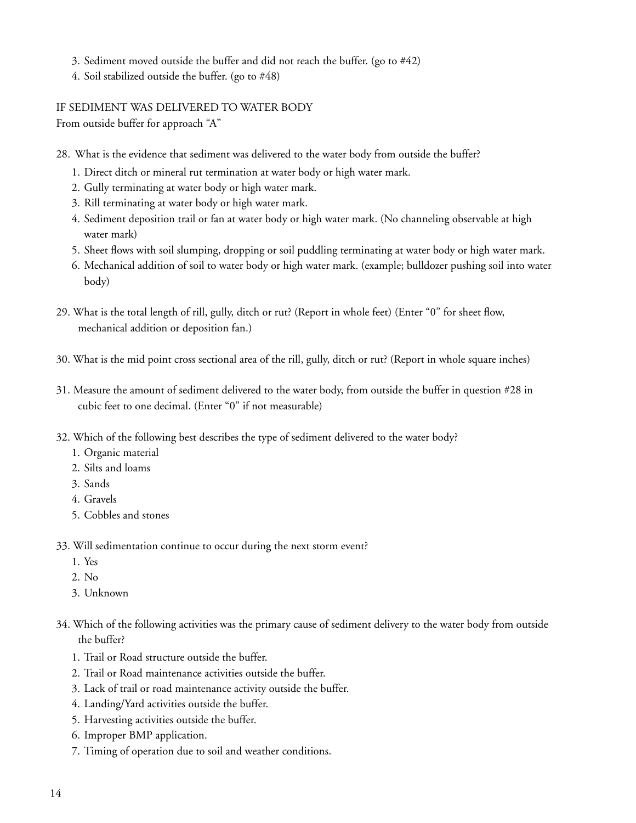- 3. Sediment moved outside the buffer and did not reach the buffer. (go to #42)
- 4. Soil stabilized outside the buffer. (go to #48)

IF SEDIMENT WAS DELIVERED TO WATER BODY

From outside buffer for approach "A"

- 28. What is the evidence that sediment was delivered to the water body from outside the buffer?
	- 1. Direct ditch or mineral rut termination at water body or high water mark.
	- 2. Gully terminating at water body or high water mark.
	- 3. Rill terminating at water body or high water mark.
	- 4. Sediment deposition trail or fan at water body or high water mark. (No channeling observable at high water mark)
	- 5. Sheet flows with soil slumping, dropping or soil puddling terminating at water body or high water mark.
	- 6. Mechanical addition of soil to water body or high water mark. (example; bulldozer pushing soil into water body)
- 29. What is the total length of rill, gully, ditch or rut? (Report in whole feet) (Enter "0" for sheet flow, mechanical addition or deposition fan.)
- 30. What is the mid point cross sectional area of the rill, gully, ditch or rut? (Report in whole square inches)
- 31. Measure the amount of sediment delivered to the water body, from outside the buffer in question #28 in cubic feet to one decimal. (Enter "0" if not measurable)
- 32. Which of the following best describes the type of sediment delivered to the water body?
	- 1. Organic material
	- 2. Silts and loams
	- 3. Sands
	- 4. Gravels
	- 5. Cobbles and stones
- 33. Will sedimentation continue to occur during the next storm event?
	- 1. Yes
	- 2. No
	- 3. Unknown
- 34. Which of the following activities was the primary cause of sediment delivery to the water body from outside the buffer?
	- 1. Trail or Road structure outside the buffer.
	- 2. Trail or Road maintenance activities outside the buffer.
	- 3. Lack of trail or road maintenance activity outside the buffer.
	- 4. Landing/Yard activities outside the buffer.
	- 5. Harvesting activities outside the buffer.
	- 6. Improper BMP application.
	- 7. Timing of operation due to soil and weather conditions.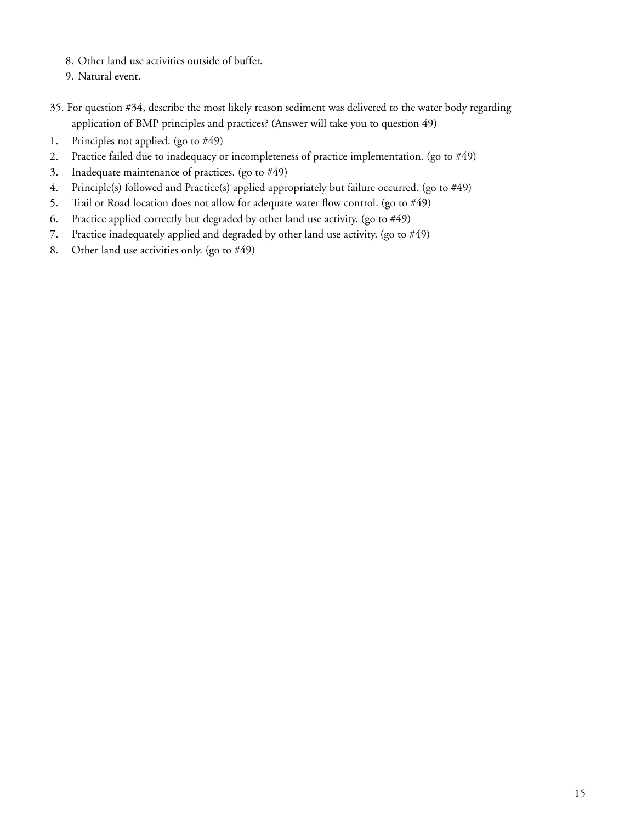- 8. Other land use activities outside of buffer.
- 9. Natural event.
- 35. For question #34, describe the most likely reason sediment was delivered to the water body regarding application of BMP principles and practices? (Answer will take you to question 49)
- 1. Principles not applied. (go to #49)
- 2. Practice failed due to inadequacy or incompleteness of practice implementation. (go to #49)
- 3. Inadequate maintenance of practices. (go to #49)
- 4. Principle(s) followed and Practice(s) applied appropriately but failure occurred. (go to #49)
- 5. Trail or Road location does not allow for adequate water flow control. (go to  $#49$ )
- 6. Practice applied correctly but degraded by other land use activity. (go to #49)
- 7. Practice inadequately applied and degraded by other land use activity. (go to #49)
- 8. Other land use activities only. (go to #49)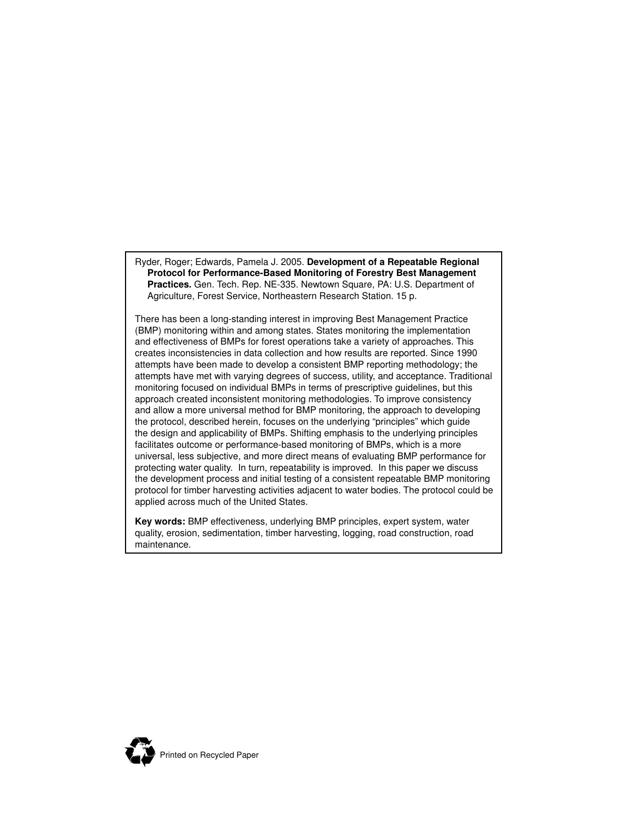Ryder, Roger; Edwards, Pamela J. 2005. **Development of a Repeatable Regional Protocol for Performance-Based Monitoring of Forestry Best Management Practices.** Gen. Tech. Rep. NE-335. Newtown Square, PA: U.S. Department of Agriculture, Forest Service, Northeastern Research Station. 15 p.

There has been a long-standing interest in improving Best Management Practice (BMP) monitoring within and among states. States monitoring the implementation and effectiveness of BMPs for forest operations take a variety of approaches. This creates inconsistencies in data collection and how results are reported. Since 1990 attempts have been made to develop a consistent BMP reporting methodology; the attempts have met with varying degrees of success, utility, and acceptance. Traditional monitoring focused on individual BMPs in terms of prescriptive guidelines, but this approach created inconsistent monitoring methodologies. To improve consistency and allow a more universal method for BMP monitoring, the approach to developing the protocol, described herein, focuses on the underlying "principles" which guide the design and applicability of BMPs. Shifting emphasis to the underlying principles facilitates outcome or performance-based monitoring of BMPs, which is a more universal, less subjective, and more direct means of evaluating BMP performance for protecting water quality. In turn, repeatability is improved. In this paper we discuss the development process and initial testing of a consistent repeatable BMP monitoring protocol for timber harvesting activities adjacent to water bodies. The protocol could be applied across much of the United States.

**Key words:** BMP effectiveness, underlying BMP principles, expert system, water quality, erosion, sedimentation, timber harvesting, logging, road construction, road maintenance.